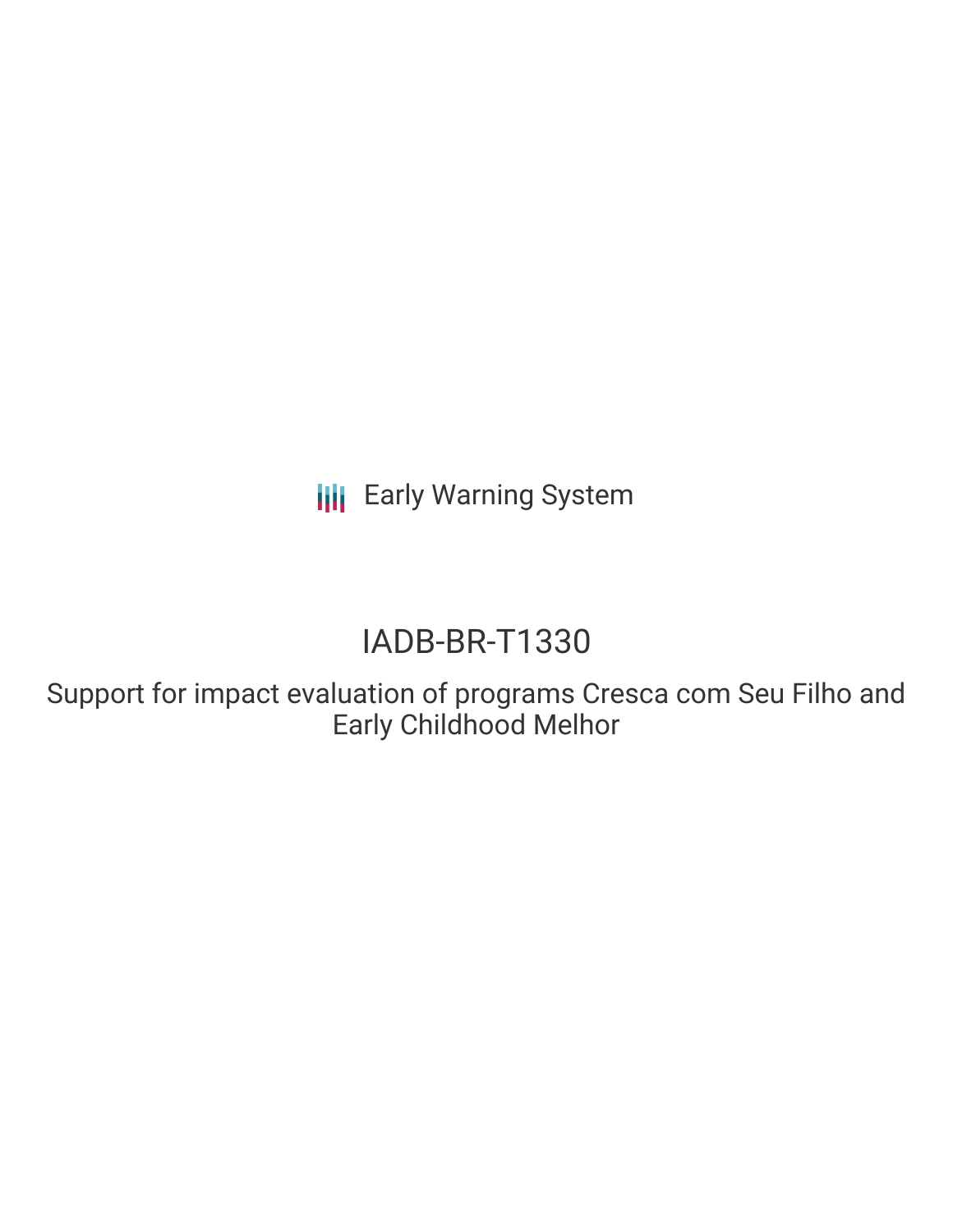**III** Early Warning System

# IADB-BR-T1330

Support for impact evaluation of programs Cresca com Seu Filho and Early Childhood Melhor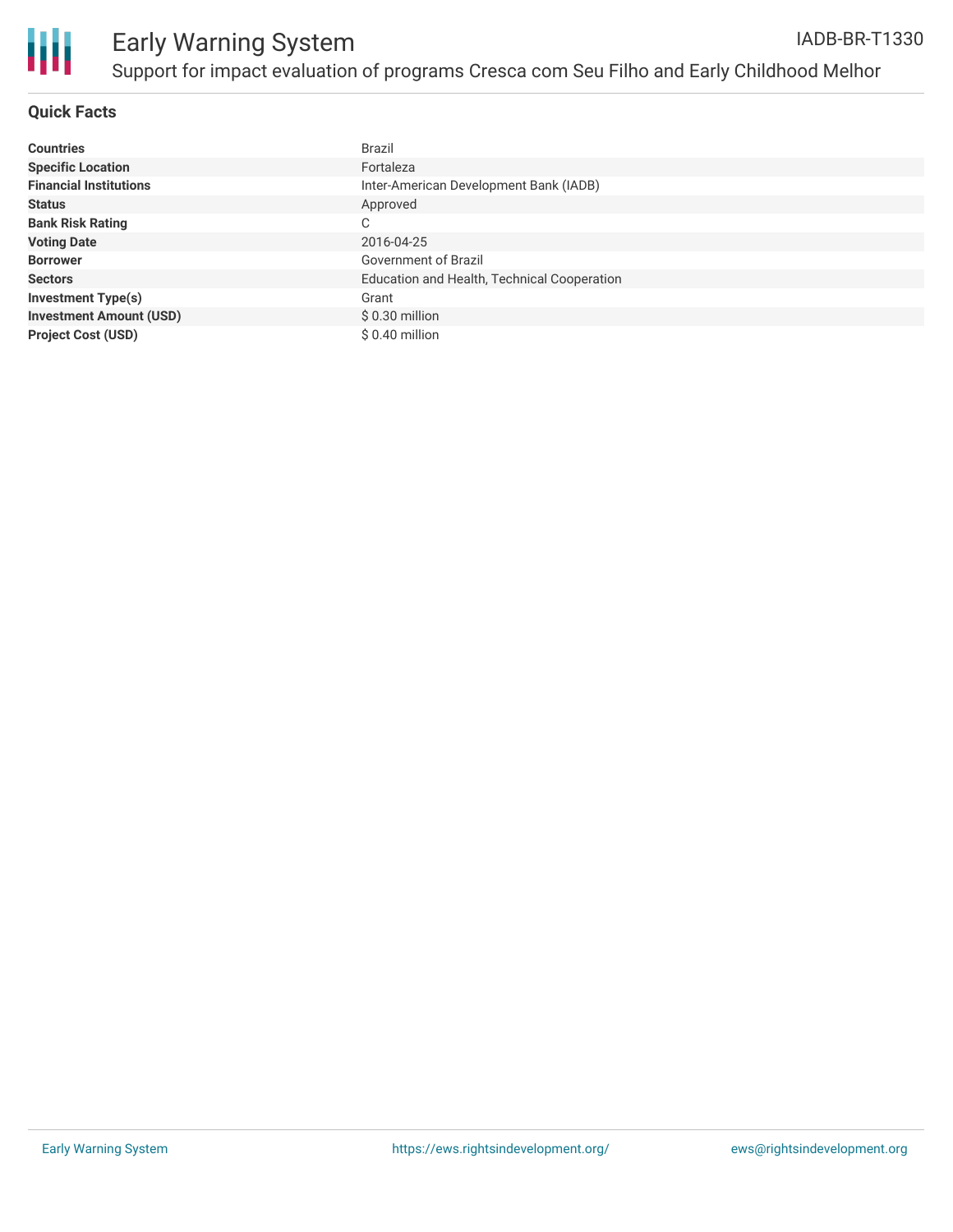

# **Quick Facts**

| <b>Countries</b>               | Brazil                                      |
|--------------------------------|---------------------------------------------|
| <b>Specific Location</b>       | Fortaleza                                   |
| <b>Financial Institutions</b>  | Inter-American Development Bank (IADB)      |
| <b>Status</b>                  | Approved                                    |
| <b>Bank Risk Rating</b>        | С                                           |
| <b>Voting Date</b>             | 2016-04-25                                  |
| <b>Borrower</b>                | Government of Brazil                        |
| <b>Sectors</b>                 | Education and Health, Technical Cooperation |
| <b>Investment Type(s)</b>      | Grant                                       |
| <b>Investment Amount (USD)</b> | $$0.30$ million                             |
| <b>Project Cost (USD)</b>      | \$ 0.40 million                             |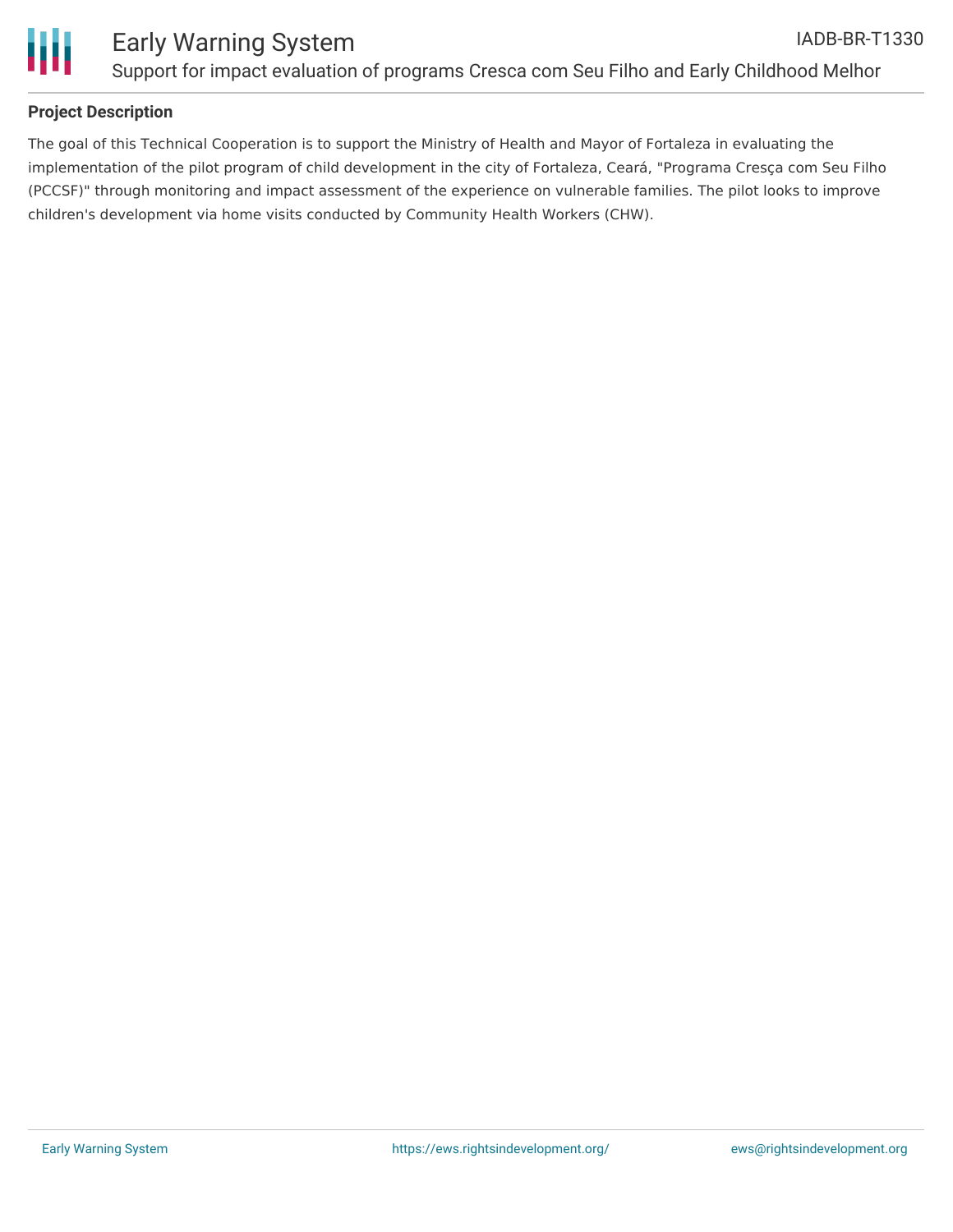

# **Project Description**

The goal of this Technical Cooperation is to support the Ministry of Health and Mayor of Fortaleza in evaluating the implementation of the pilot program of child development in the city of Fortaleza, Ceará, "Programa Cresça com Seu Filho (PCCSF)" through monitoring and impact assessment of the experience on vulnerable families. The pilot looks to improve children's development via home visits conducted by Community Health Workers (CHW).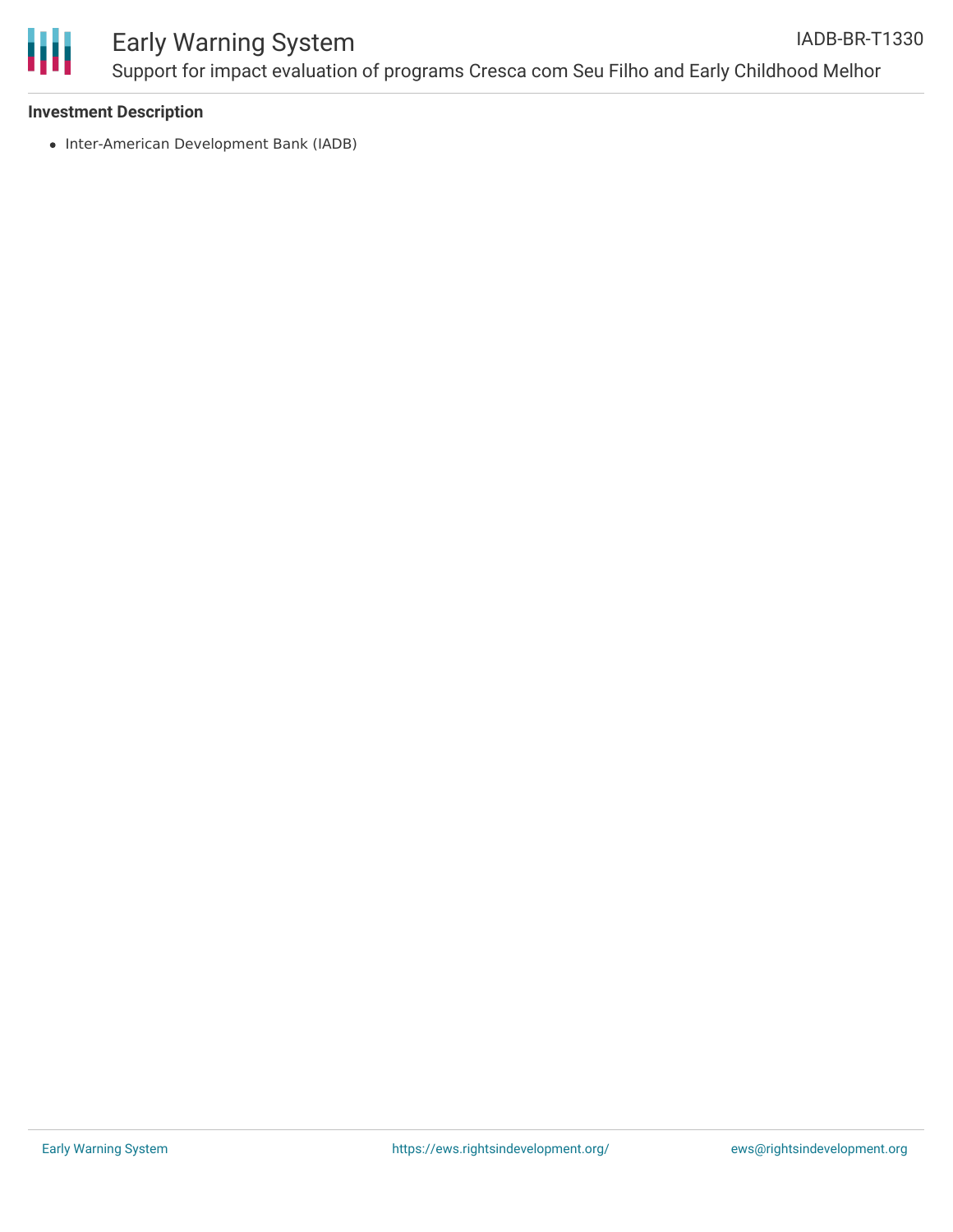

### **Investment Description**

• Inter-American Development Bank (IADB)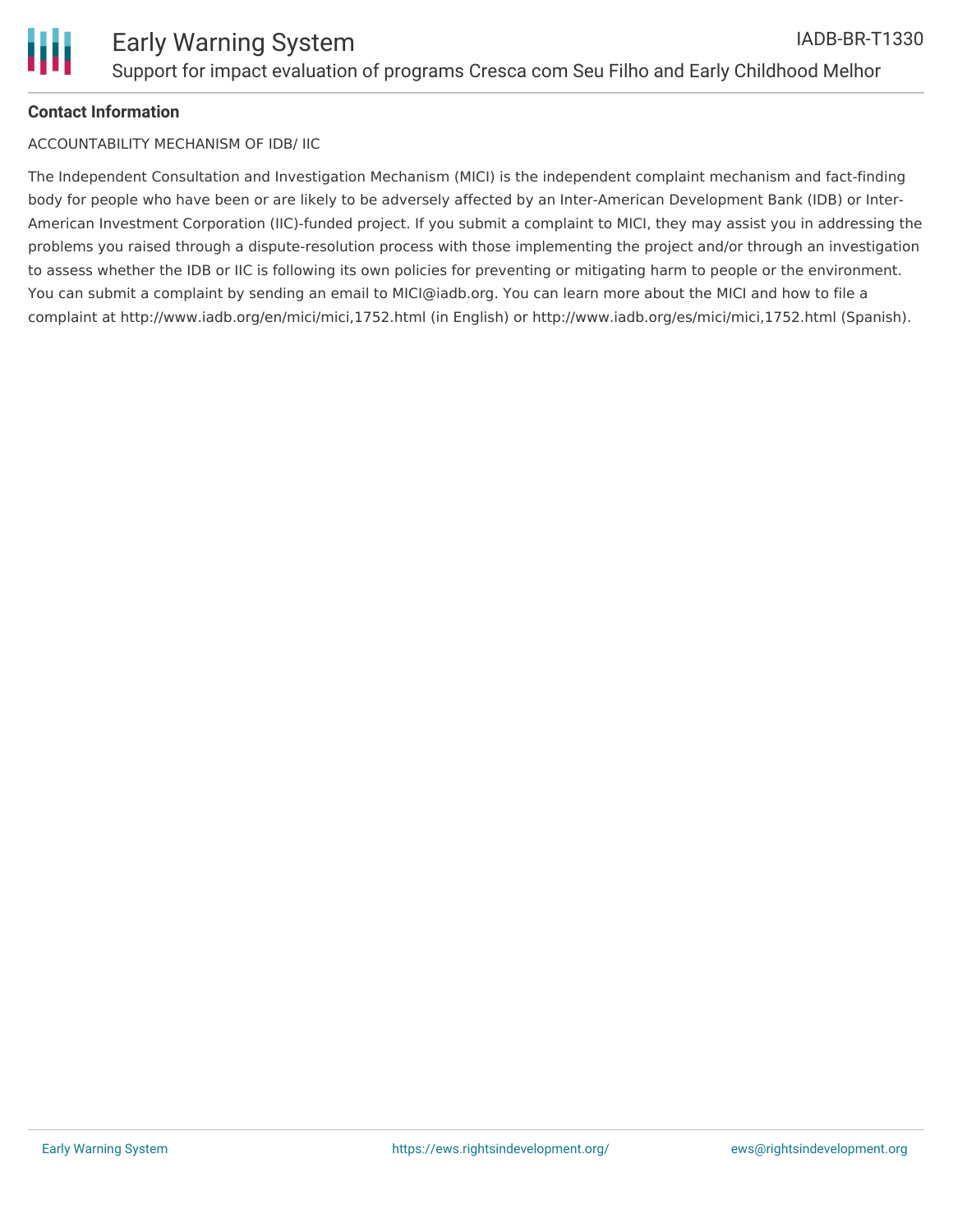

# **Contact Information**

ACCOUNTABILITY MECHANISM OF IDB/ IIC

The Independent Consultation and Investigation Mechanism (MICI) is the independent complaint mechanism and fact-finding body for people who have been or are likely to be adversely affected by an Inter-American Development Bank (IDB) or Inter-American Investment Corporation (IIC)-funded project. If you submit a complaint to MICI, they may assist you in addressing the problems you raised through a dispute-resolution process with those implementing the project and/or through an investigation to assess whether the IDB or IIC is following its own policies for preventing or mitigating harm to people or the environment. You can submit a complaint by sending an email to MICI@iadb.org. You can learn more about the MICI and how to file a complaint at http://www.iadb.org/en/mici/mici,1752.html (in English) or http://www.iadb.org/es/mici/mici,1752.html (Spanish).